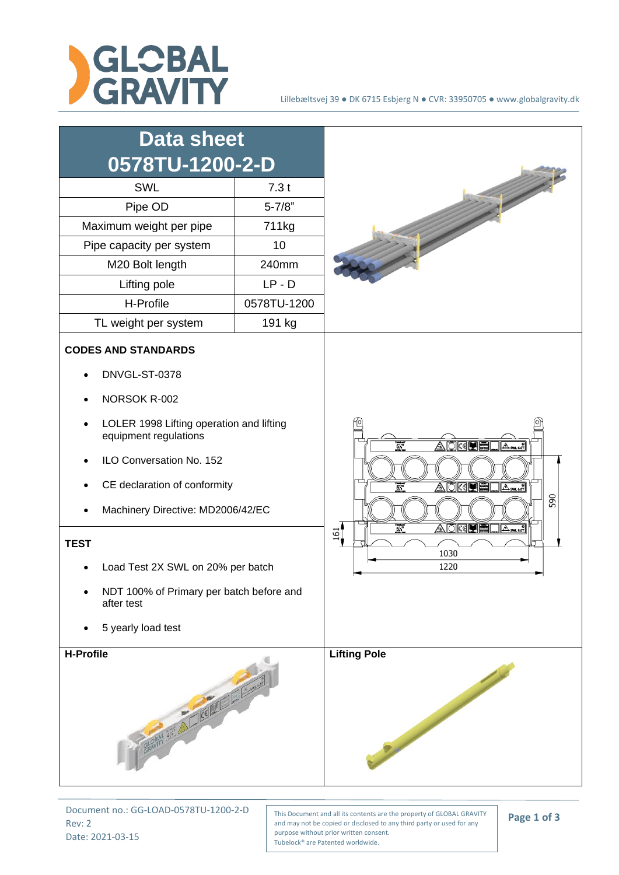



Document no.: GG-LOAD-0578TU-1200-2-D Rev: 2 Date: 2021-03-15

This Document and all its contents are the property of GLOBAL GRAVITY and may not be copied or disclosed to any third party or used for any purpose without prior written consent. Tubelock® are Patented worldwide.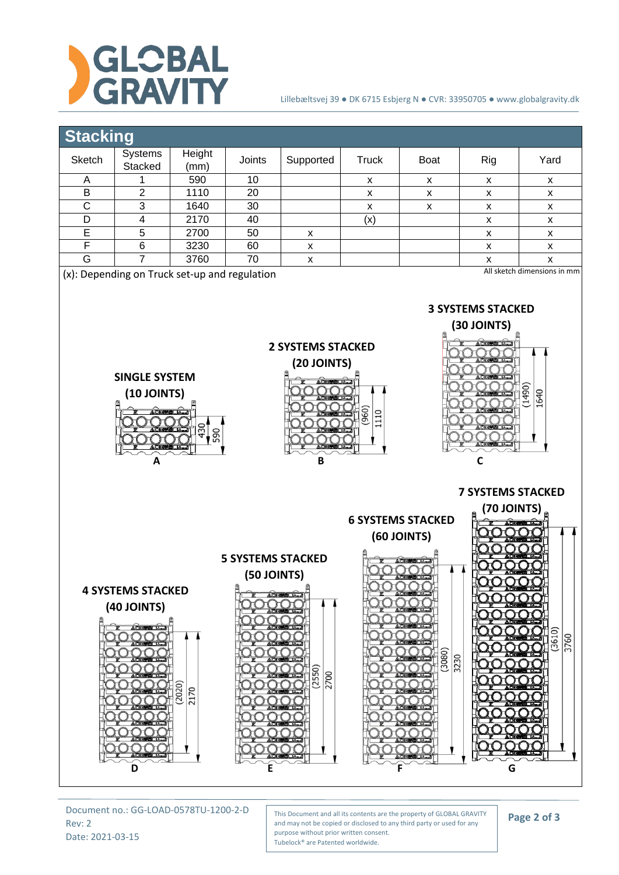

## Lillebæltsvej 39 ● DK 6715 Esbjerg N ● CVR: 33950705 ● www.globalgravity.dk



Document no.: GG-LOAD-0578TU-1200-2-D Rev: 2 Date: 2021-03-15

This Document and all its contents are the property of GLOBAL GRAVITY and may not be copied or disclosed to any third party or used for any purpose without prior written consent. Tubelock® are Patented worldwide.

## **Page 2 of 3**